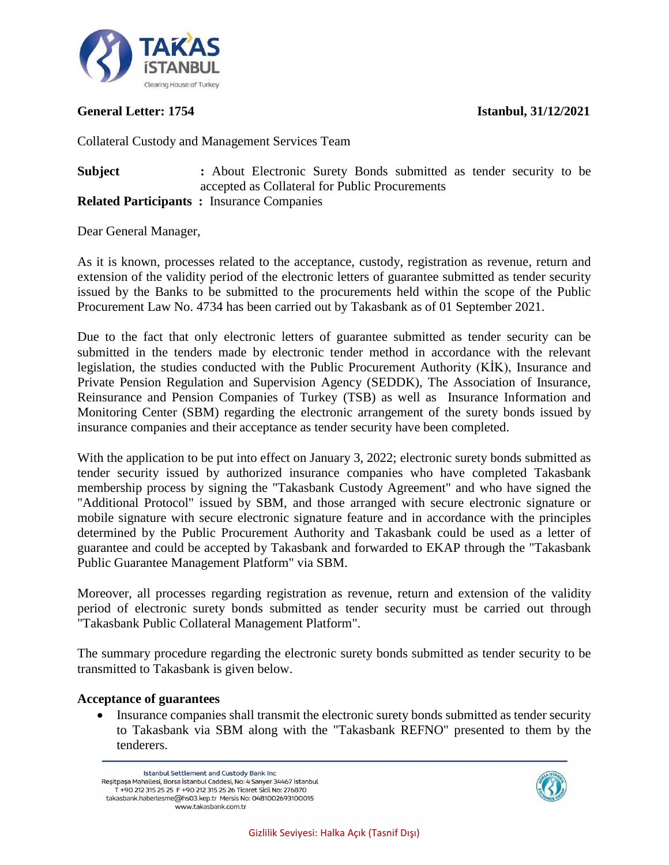

### **General Letter: 1754 Istanbul, 31/12/2021**

Collateral Custody and Management Services Team

### **Subject :** About Electronic Surety Bonds submitted as tender security to be accepted as Collateral for Public Procurements **Related Participants :** Insurance Companies

Dear General Manager,

As it is known, processes related to the acceptance, custody, registration as revenue, return and extension of the validity period of the electronic letters of guarantee submitted as tender security issued by the Banks to be submitted to the procurements held within the scope of the Public Procurement Law No. 4734 has been carried out by Takasbank as of 01 September 2021.

Due to the fact that only electronic letters of guarantee submitted as tender security can be submitted in the tenders made by electronic tender method in accordance with the relevant legislation, the studies conducted with the Public Procurement Authority (KİK), Insurance and Private Pension Regulation and Supervision Agency (SEDDK), The Association of Insurance, Reinsurance and Pension Companies of Turkey (TSB) as well as Insurance Information and Monitoring Center (SBM) regarding the electronic arrangement of the surety bonds issued by insurance companies and their acceptance as tender security have been completed.

With the application to be put into effect on January 3, 2022; electronic surety bonds submitted as tender security issued by authorized insurance companies who have completed Takasbank membership process by signing the "Takasbank Custody Agreement" and who have signed the "Additional Protocol" issued by SBM, and those arranged with secure electronic signature or mobile signature with secure electronic signature feature and in accordance with the principles determined by the Public Procurement Authority and Takasbank could be used as a letter of guarantee and could be accepted by Takasbank and forwarded to EKAP through the "Takasbank Public Guarantee Management Platform" via SBM.

Moreover, all processes regarding registration as revenue, return and extension of the validity period of electronic surety bonds submitted as tender security must be carried out through "Takasbank Public Collateral Management Platform".

The summary procedure regarding the electronic surety bonds submitted as tender security to be transmitted to Takasbank is given below.

# **Acceptance of guarantees**

• Insurance companies shall transmit the electronic surety bonds submitted as tender security to Takasbank via SBM along with the "Takasbank REFNO" presented to them by the tenderers.

Istanbul Settlement and Custody Bank Inc Reşitpaşa Mahallesi, Borsa İstanbul Caddesi, No: 4 Sarıyer 34467 İstanbul T +90 212 315 25 25 F +90 212 315 25 26 Ticaret Sicil No: 276870 takasbank.haberlesme@hs03.kep.tr Mersis No: 0481002693100015 www.takasbank.com.tr

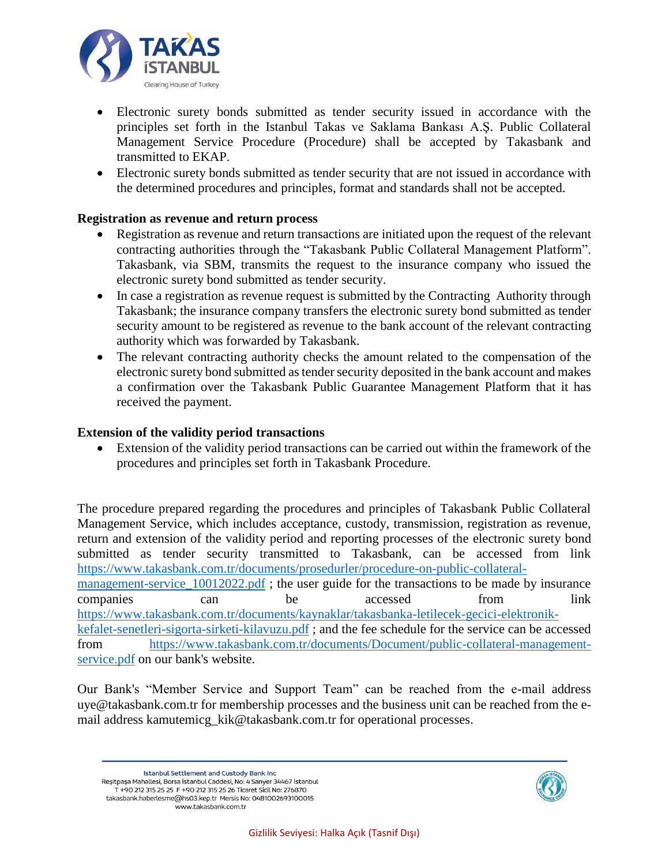

- Electronic surety bonds submitted as tender security issued in accordance with the principles set forth in the Istanbul Takas ve Saklama Bankası A.Ş. Public Collateral Management Service Procedure (Procedure) shall be accepted by Takasbank and transmitted to EKAP.
- Electronic surety bonds submitted as tender security that are not issued in accordance with the determined procedures and principles, format and standards shall not be accepted.

### **Registration as revenue and return process**

- Registration as revenue and return transactions are initiated upon the request of the relevant contracting authorities through the "Takasbank Public Collateral Management Platform". Takasbank, via SBM, transmits the request to the insurance company who issued the electronic surety bond submitted as tender security.
- In case a registration as revenue request is submitted by the Contracting Authority through Takasbank; the insurance company transfers the electronic surety bond submitted as tender security amount to be registered as revenue to the bank account of the relevant contracting authority which was forwarded by Takasbank.
- The relevant contracting authority checks the amount related to the compensation of the electronic surety bond submitted as tender security deposited in the bank account and makes a confirmation over the Takasbank Public Guarantee Management Platform that it has received the payment.

#### **Extension of the validity period transactions**

 Extension of the validity period transactions can be carried out within the framework of the procedures and principles set forth in Takasbank Procedure.

The procedure prepared regarding the procedures and principles of Takasbank Public Collateral Management Service, which includes acceptance, custody, transmission, registration as revenue, return and extension of the validity period and reporting processes of the electronic surety bond submitted as tender security transmitted to Takasbank, can be accessed from link [https://www.takasbank.com.tr/documents/prosedurler/procedure-on-public-collateral](https://www.takasbank.com.tr/documents/prosedurler/procedure-on-public-collateral-management-service_10012022.pdf)management-service 10012022.pdf; the user guide for the transactions to be made by insurance companies can be accessed from link [https://www.takasbank.com.tr/documents/kaynaklar/takasbanka-letilecek-gecici-elektronik](https://www.takasbank.com.tr/documents/kaynaklar/takasbanka-letilecek-gecici-elektronik-kefalet-senetleri-sigorta-sirketi-kilavuzu.pdf)[kefalet-senetleri-sigorta-sirketi-kilavuzu.pdf](https://www.takasbank.com.tr/documents/kaynaklar/takasbanka-letilecek-gecici-elektronik-kefalet-senetleri-sigorta-sirketi-kilavuzu.pdf) ; and the fee schedule for the service can be accessed from [https://www.takasbank.com.tr/documents/Document/public-collateral-management](https://www.takasbank.com.tr/documents/Document/public-collateral-management-service.pdf)[service.pdf](https://www.takasbank.com.tr/documents/Document/public-collateral-management-service.pdf) on our bank's website.

Our Bank's "Member Service and Support Team" can be reached from the e-mail address uye@takasbank.com.tr for membership processes and the business unit can be reached from the email address kamutemicg\_kik@takasbank.com.tr for operational processes.

Istanbul Settlement and Custody Bank Inc Reşitpaşa Mahallesi, Borsa İstanbul Caddesi, No: 4 Sarıyer 34467 İstanbul T +90 212 315 25 25 F +90 212 315 25 26 Ticaret Sicil No: 276870 takasbank.haberlesme@hs03.kep.tr Mersis No: 0481002693100015 www.takasbank.com.tr